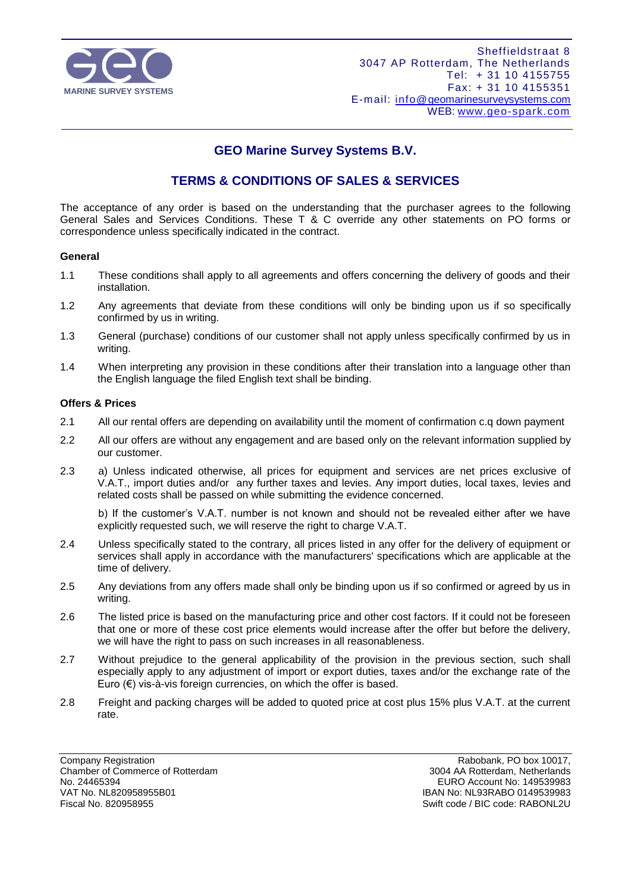

# **GEO Marine Survey Systems B.V.**

# **TERMS & CONDITIONS OF SALES & SERVICES**

The acceptance of any order is based on the understanding that the purchaser agrees to the following General Sales and Services Conditions. These T & C override any other statements on PO forms or correspondence unless specifically indicated in the contract.

# **General**

- 1.1 These conditions shall apply to all agreements and offers concerning the delivery of goods and their installation.
- 1.2 Any agreements that deviate from these conditions will only be binding upon us if so specifically confirmed by us in writing.
- 1.3 General (purchase) conditions of our customer shall not apply unless specifically confirmed by us in writing.
- 1.4 When interpreting any provision in these conditions after their translation into a language other than the English language the filed English text shall be binding.

# **Offers & Prices**

- 2.1 All our rental offers are depending on availability until the moment of confirmation c.q down payment
- 2.2 All our offers are without any engagement and are based only on the relevant information supplied by our customer.
- 2.3 a) Unless indicated otherwise, all prices for equipment and services are net prices exclusive of V.A.T., import duties and/or any further taxes and levies. Any import duties, local taxes, levies and related costs shall be passed on while submitting the evidence concerned.

b) If the customer's V.A.T. number is not known and should not be revealed either after we have explicitly requested such, we will reserve the right to charge V.A.T.

- 2.4 Unless specifically stated to the contrary, all prices listed in any offer for the delivery of equipment or services shall apply in accordance with the manufacturers' specifications which are applicable at the time of delivery.
- 2.5 Any deviations from any offers made shall only be binding upon us if so confirmed or agreed by us in writing.
- 2.6 The listed price is based on the manufacturing price and other cost factors. If it could not be foreseen that one or more of these cost price elements would increase after the offer but before the delivery, we will have the right to pass on such increases in all reasonableness.
- 2.7 Without prejudice to the general applicability of the provision in the previous section, such shall especially apply to any adjustment of import or export duties, taxes and/or the exchange rate of the Euro  $(\epsilon)$  vis-à-vis foreign currencies, on which the offer is based.
- 2.8 Freight and packing charges will be added to quoted price at cost plus 15% plus V.A.T. at the current rate.

Company Registration **Company Registration** Company Rabobank, PO box 10017,<br>Chamber of Commerce of Rotterdam **Commerce of Rotterdam** Chamber of Commerce of Rotterdam Chamber of Commerce of Rotterdam<br>No. 24465394 No. 24465394 EURO Account No: 149539983 Fiscal No. 820958955 Swift code / BIC code: RABONL2U

IBAN No: NL93RABO 0149539983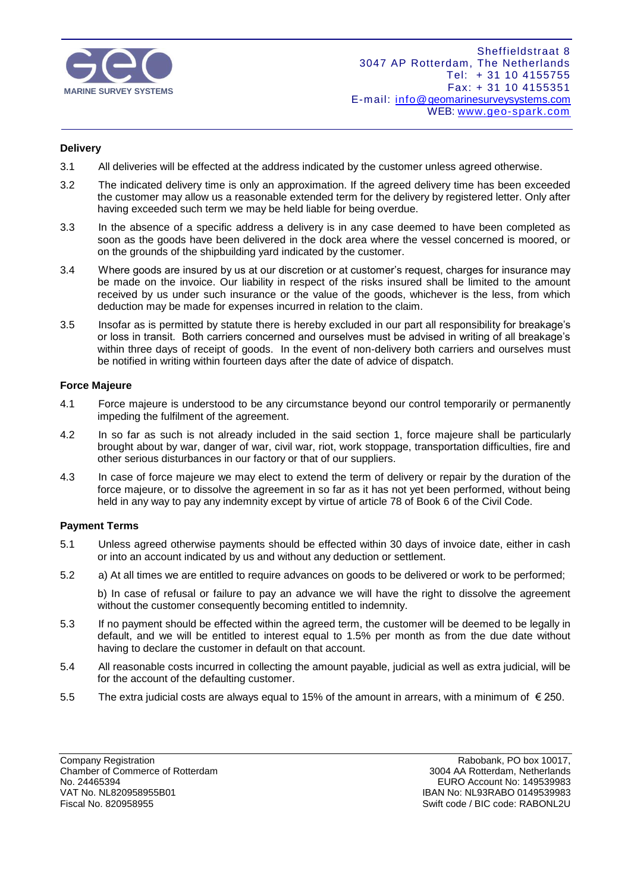

# **Delivery**

- 3.1 All deliveries will be effected at the address indicated by the customer unless agreed otherwise.
- 3.2 The indicated delivery time is only an approximation. If the agreed delivery time has been exceeded the customer may allow us a reasonable extended term for the delivery by registered letter. Only after having exceeded such term we may be held liable for being overdue.
- 3.3 In the absence of a specific address a delivery is in any case deemed to have been completed as soon as the goods have been delivered in the dock area where the vessel concerned is moored, or on the grounds of the shipbuilding yard indicated by the customer.
- 3.4 Where goods are insured by us at our discretion or at customer's request, charges for insurance may be made on the invoice. Our liability in respect of the risks insured shall be limited to the amount received by us under such insurance or the value of the goods, whichever is the less, from which deduction may be made for expenses incurred in relation to the claim.
- 3.5 Insofar as is permitted by statute there is hereby excluded in our part all responsibility for breakage's or loss in transit. Both carriers concerned and ourselves must be advised in writing of all breakage's within three days of receipt of goods. In the event of non-delivery both carriers and ourselves must be notified in writing within fourteen days after the date of advice of dispatch.

# **Force Majeure**

- 4.1 Force majeure is understood to be any circumstance beyond our control temporarily or permanently impeding the fulfilment of the agreement.
- 4.2 In so far as such is not already included in the said section 1, force majeure shall be particularly brought about by war, danger of war, civil war, riot, work stoppage, transportation difficulties, fire and other serious disturbances in our factory or that of our suppliers.
- 4.3 In case of force majeure we may elect to extend the term of delivery or repair by the duration of the force majeure, or to dissolve the agreement in so far as it has not yet been performed, without being held in any way to pay any indemnity except by virtue of article 78 of Book 6 of the Civil Code.

# **Payment Terms**

- 5.1 Unless agreed otherwise payments should be effected within 30 days of invoice date, either in cash or into an account indicated by us and without any deduction or settlement.
- 5.2 a) At all times we are entitled to require advances on goods to be delivered or work to be performed;

b) In case of refusal or failure to pay an advance we will have the right to dissolve the agreement without the customer consequently becoming entitled to indemnity.

- 5.3 If no payment should be effected within the agreed term, the customer will be deemed to be legally in default, and we will be entitled to interest equal to 1.5% per month as from the due date without having to declare the customer in default on that account.
- 5.4 All reasonable costs incurred in collecting the amount payable, judicial as well as extra judicial, will be for the account of the defaulting customer.
- 5.5 The extra judicial costs are always equal to 15% of the amount in arrears, with a minimum of € 250.

Company Registration **Company Registration**<br>
Chamber of Commerce of Rotterdam **Rabobank, PO box 10017,**<br>
2004 AA Rotterdam Netherlands Chamber of Commerce of Rotterdam<br>No. 24465394 No. 24465394 EURO Account No: 149539983 VAT No. NL820958955B01 IBAN No: NL93RABO 0149539983

Swift code / BIC code: RABONL2U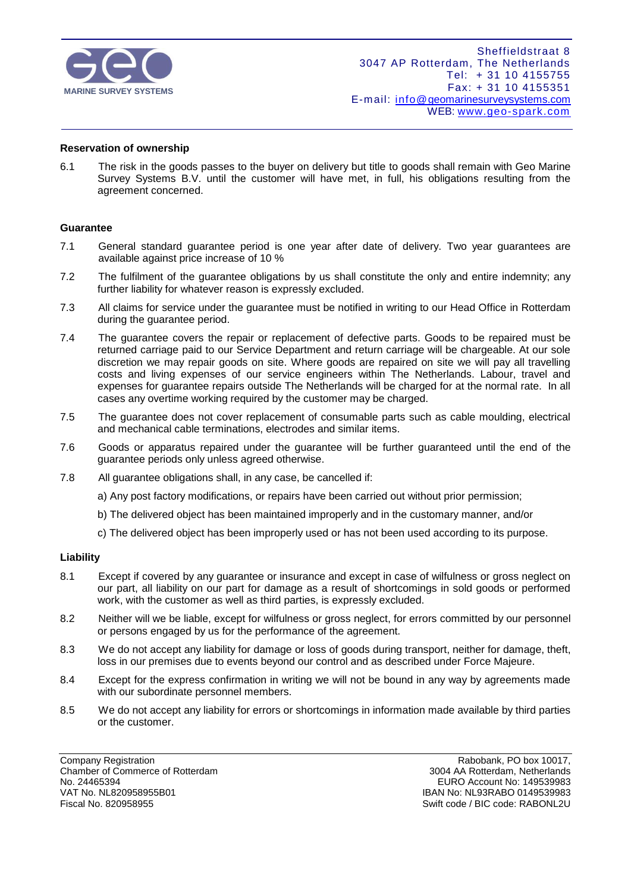

#### **Reservation of ownership**

6.1 The risk in the goods passes to the buyer on delivery but title to goods shall remain with Geo Marine Survey Systems B.V. until the customer will have met, in full, his obligations resulting from the agreement concerned.

#### **Guarantee**

- 7.1 General standard guarantee period is one year after date of delivery. Two year guarantees are available against price increase of 10 %
- 7.2 The fulfilment of the guarantee obligations by us shall constitute the only and entire indemnity; any further liability for whatever reason is expressly excluded.
- 7.3 All claims for service under the guarantee must be notified in writing to our Head Office in Rotterdam during the guarantee period.
- 7.4 The guarantee covers the repair or replacement of defective parts. Goods to be repaired must be returned carriage paid to our Service Department and return carriage will be chargeable. At our sole discretion we may repair goods on site. Where goods are repaired on site we will pay all travelling costs and living expenses of our service engineers within The Netherlands. Labour, travel and expenses for guarantee repairs outside The Netherlands will be charged for at the normal rate. In all cases any overtime working required by the customer may be charged.
- 7.5 The guarantee does not cover replacement of consumable parts such as cable moulding, electrical and mechanical cable terminations, electrodes and similar items.
- 7.6 Goods or apparatus repaired under the guarantee will be further guaranteed until the end of the guarantee periods only unless agreed otherwise.
- 7.8 All guarantee obligations shall, in any case, be cancelled if:
	- a) Any post factory modifications, or repairs have been carried out without prior permission;
	- b) The delivered object has been maintained improperly and in the customary manner, and/or
	- c) The delivered object has been improperly used or has not been used according to its purpose.

#### **Liability**

- 8.1 Except if covered by any guarantee or insurance and except in case of wilfulness or gross neglect on our part, all liability on our part for damage as a result of shortcomings in sold goods or performed work, with the customer as well as third parties, is expressly excluded.
- 8.2 Neither will we be liable, except for wilfulness or gross neglect, for errors committed by our personnel or persons engaged by us for the performance of the agreement.
- 8.3 We do not accept any liability for damage or loss of goods during transport, neither for damage, theft, loss in our premises due to events beyond our control and as described under Force Majeure.
- 8.4 Except for the express confirmation in writing we will not be bound in any way by agreements made with our subordinate personnel members.
- 8.5 We do not accept any liability for errors or shortcomings in information made available by third parties or the customer.

Company Registration **Company Registration** Company Rabobank, PO box 10017,<br>Chamber of Commerce of Rotterdam **Commerce of Rotterdam** Chamber of Commerce of Rotterdam Chamber of Commerce of Rotterdam<br>No. 24465394 No. 24465394 EURO Account No: 149539983 Fiscal No. 820958955 Swift code / BIC code: RABONL2U

IBAN No: NL93RABO 0149539983